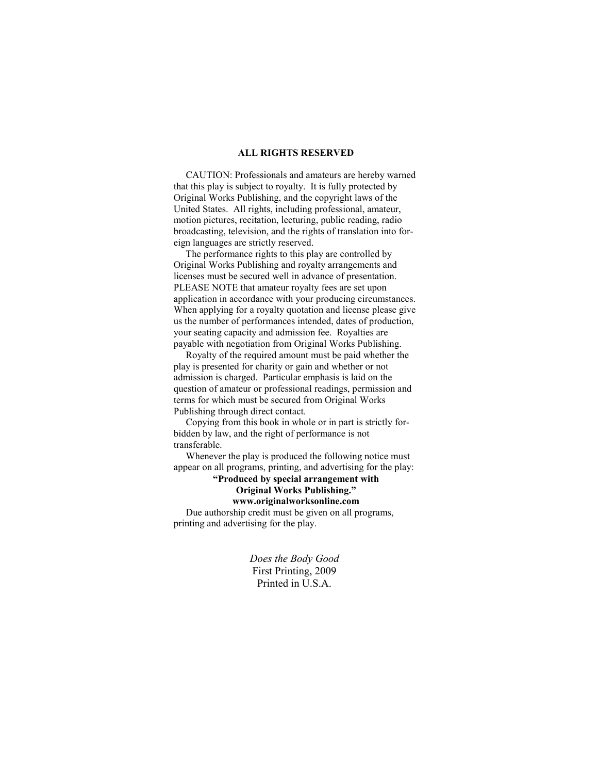#### **ALL RIGHTS RESERVED**

 CAUTION: Professionals and amateurs are hereby warned that this play is subject to royalty. It is fully protected by Original Works Publishing, and the copyright laws of the United States. All rights, including professional, amateur, motion pictures, recitation, lecturing, public reading, radio broadcasting, television, and the rights of translation into foreign languages are strictly reserved.

 The performance rights to this play are controlled by Original Works Publishing and royalty arrangements and licenses must be secured well in advance of presentation. PLEASE NOTE that amateur royalty fees are set upon application in accordance with your producing circumstances. When applying for a royalty quotation and license please give us the number of performances intended, dates of production, your seating capacity and admission fee. Royalties are payable with negotiation from Original Works Publishing.

 Royalty of the required amount must be paid whether the play is presented for charity or gain and whether or not admission is charged. Particular emphasis is laid on the question of amateur or professional readings, permission and terms for which must be secured from Original Works Publishing through direct contact.

 Copying from this book in whole or in part is strictly forbidden by law, and the right of performance is not transferable.

 Whenever the play is produced the following notice must appear on all programs, printing, and advertising for the play:

**"Produced by special arrangement with Original Works Publishing."** 

# **www.originalworksonline.com**

 Due authorship credit must be given on all programs, printing and advertising for the play.

> *Does the Body Good*  First Printing, 2009 Printed in U.S.A.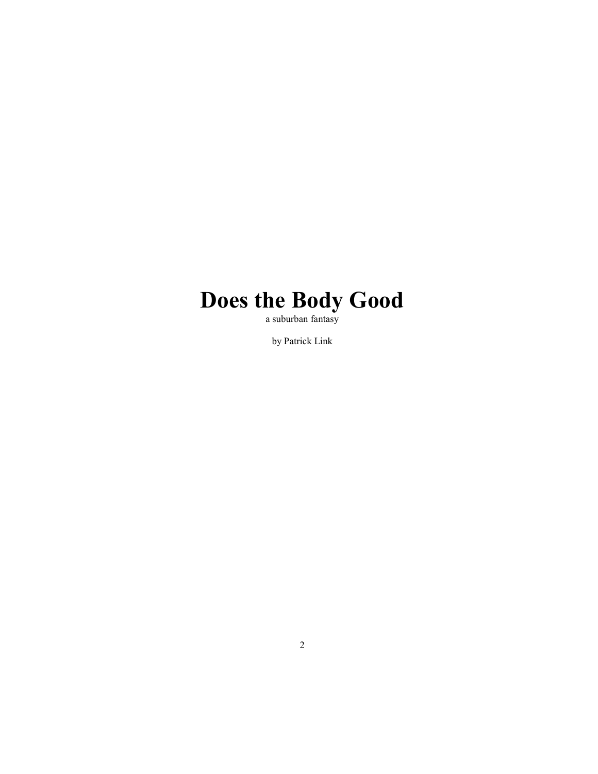# **Does the Body Good**

a suburban fantasy

by Patrick Link

2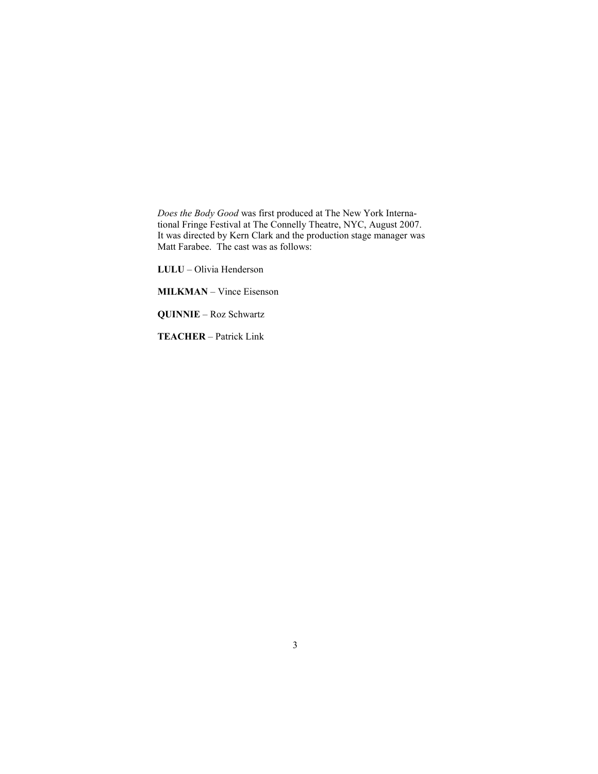*Does the Body Good* was first produced at The New York International Fringe Festival at The Connelly Theatre, NYC, August 2007. It was directed by Kern Clark and the production stage manager was Matt Farabee. The cast was as follows:

**LULU** – Olivia Henderson

**MILKMAN** – Vince Eisenson

**QUINNIE – Roz Schwartz** 

**TEACHER** – Patrick Link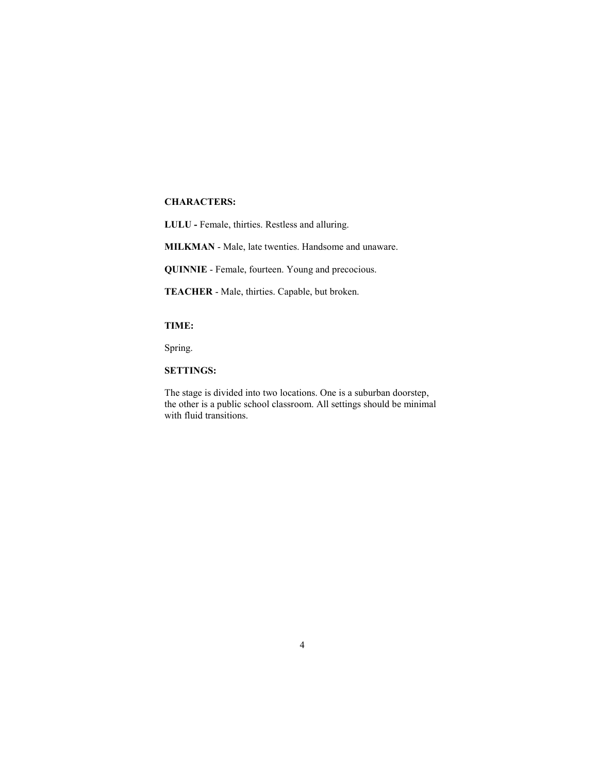#### **CHARACTERS:**

**LULU -** Female, thirties. Restless and alluring.

MILKMAN - Male, late twenties. Handsome and unaware.

**QUINNIE** - Female, fourteen. Young and precocious.

**TEACHER** - Male, thirties. Capable, but broken.

## **TIME:**

Spring.

**SETTINGS:** 

The stage is divided into two locations. One is a suburban doorstep, the other is a public school classroom. All settings should be minimal with fluid transitions.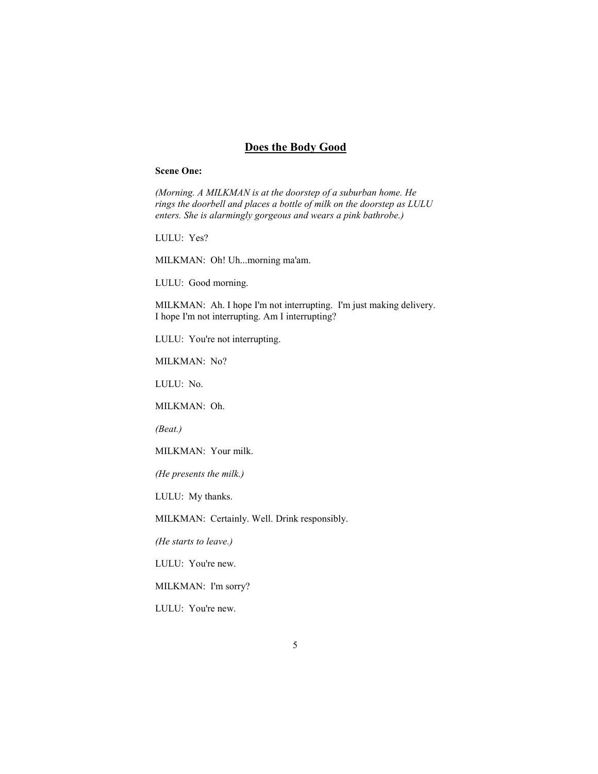# **Does the Body Good**

#### **Scene One:**

*(Morning. A MILKMAN is at the doorstep of a suburban home. He rings the doorbell and places a bottle of milk on the doorstep as LULU enters. She is alarmingly gorgeous and wears a pink bathrobe.)* 

LULU: Yes?

MILKMAN: Oh! Uh...morning ma'am.

LULU: Good morning.

MILKMAN: Ah. I hope I'm not interrupting. I'm just making delivery. I hope I'm not interrupting. Am I interrupting?

LULU: You're not interrupting.

MILKMAN: No?

LULU: No.

MILKMAN: Oh.

*(Beat.)* 

MILKMAN: Your milk.

*(He presents the milk.)* 

LULU: My thanks.

MILKMAN: Certainly. Well. Drink responsibly.

*(He starts to leave.)* 

LULU: You're new.

MILKMAN: I'm sorry?

LULU: You're new.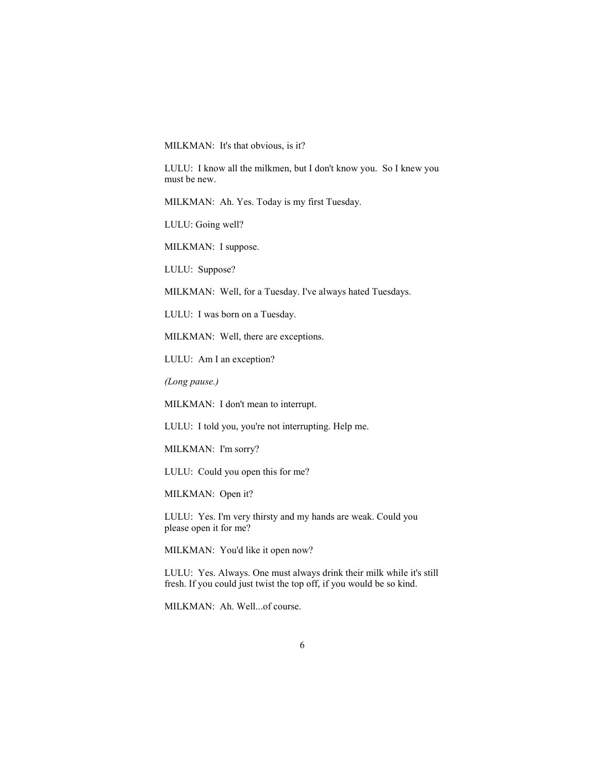MILKMAN: It's that obvious, is it?

LULU: I know all the milkmen, but I don't know you. So I knew you must be new.

MILKMAN: Ah. Yes. Today is my first Tuesday.

LULU: Going well?

MILKMAN: I suppose.

LULU: Suppose?

MILKMAN: Well, for a Tuesday. I've always hated Tuesdays.

LULU: I was born on a Tuesday.

MILKMAN: Well, there are exceptions.

LULU: Am I an exception?

*(Long pause.)* 

MILKMAN: I don't mean to interrupt.

LULU: I told you, you're not interrupting. Help me.

MILKMAN: I'm sorry?

LULU: Could you open this for me?

MILKMAN: Open it?

LULU: Yes. I'm very thirsty and my hands are weak. Could you please open it for me?

MILKMAN: You'd like it open now?

LULU: Yes. Always. One must always drink their milk while it's still fresh. If you could just twist the top off, if you would be so kind.

MILKMAN: Ah. Well...of course.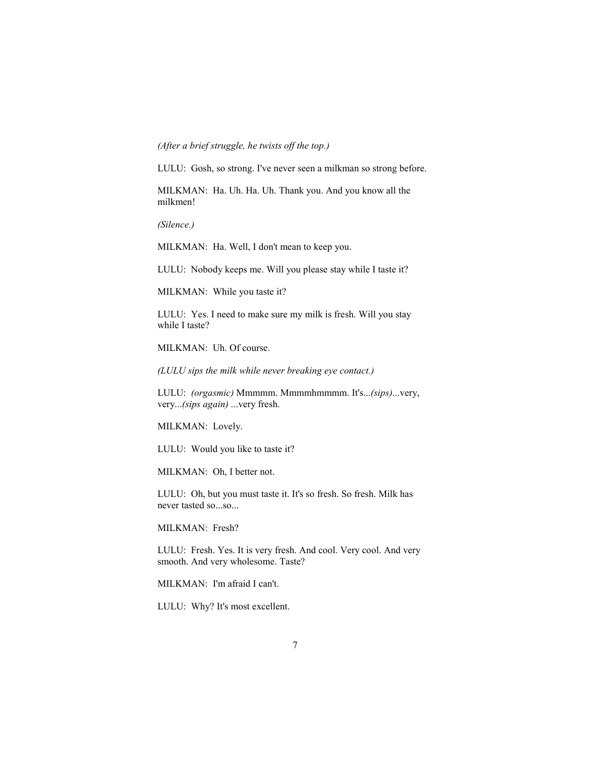## *(After a brief struggle, he twists off the top.)*

LULU: Gosh, so strong. I've never seen a milkman so strong before.

MILKMAN: Ha. Uh. Ha. Uh. Thank you. And you know all the milkmen!

*(Silence.)* 

MILKMAN: Ha. Well, I don't mean to keep you.

LULU: Nobody keeps me. Will you please stay while I taste it?

MILKMAN: While you taste it?

LULU: Yes. I need to make sure my milk is fresh. Will you stay while I taste?

MILKMAN: Uh. Of course.

*(LULU sips the milk while never breaking eye contact.)* 

LULU: *(orgasmic)* Mmmmm. Mmmmhmmmm. It's...*(sips)*...very, very...*(sips again)* ...very fresh.

MILKMAN: Lovely.

LULU: Would you like to taste it?

MILKMAN: Oh, I better not.

LULU: Oh, but you must taste it. It's so fresh. So fresh. Milk has never tasted so...so...

MILKMAN: Fresh?

LULU: Fresh. Yes. It is very fresh. And cool. Very cool. And very smooth. And very wholesome. Taste?

MILKMAN: I'm afraid I can't.

LULU: Why? It's most excellent.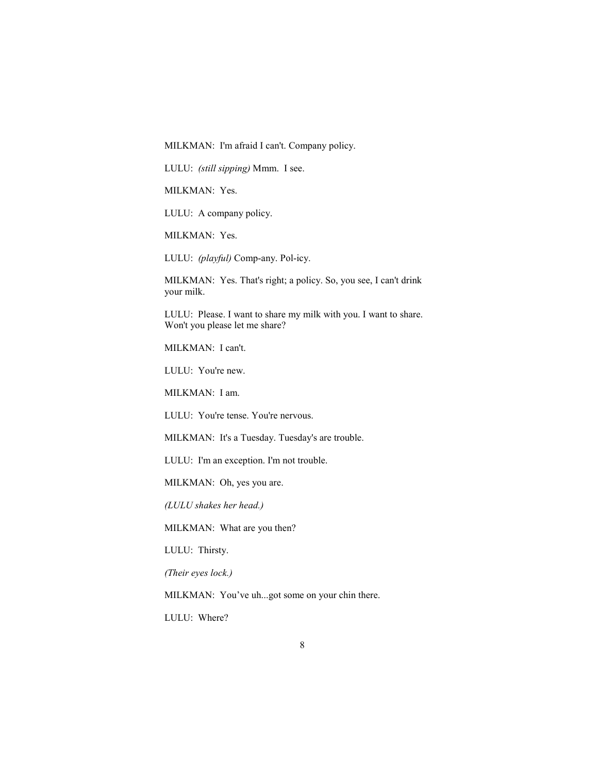MILKMAN: I'm afraid I can't. Company policy.

LULU: *(still sipping)* Mmm. I see.

MILKMAN: Yes.

LULU: A company policy.

MILKMAN: Yes.

LULU: *(playful)* Comp-any. Pol-icy.

MILKMAN: Yes. That's right; a policy. So, you see, I can't drink your milk.

LULU: Please. I want to share my milk with you. I want to share. Won't you please let me share?

MILKMAN: I can't.

LULU: You're new.

MILKMAN: I am.

LULU: You're tense. You're nervous.

MILKMAN: It's a Tuesday. Tuesday's are trouble.

LULU: I'm an exception. I'm not trouble.

MILKMAN: Oh, yes you are.

*(LULU shakes her head.)* 

MILKMAN: What are you then?

LULU: Thirsty.

*(Their eyes lock.)* 

MILKMAN: You've uh...got some on your chin there.

LULU: Where?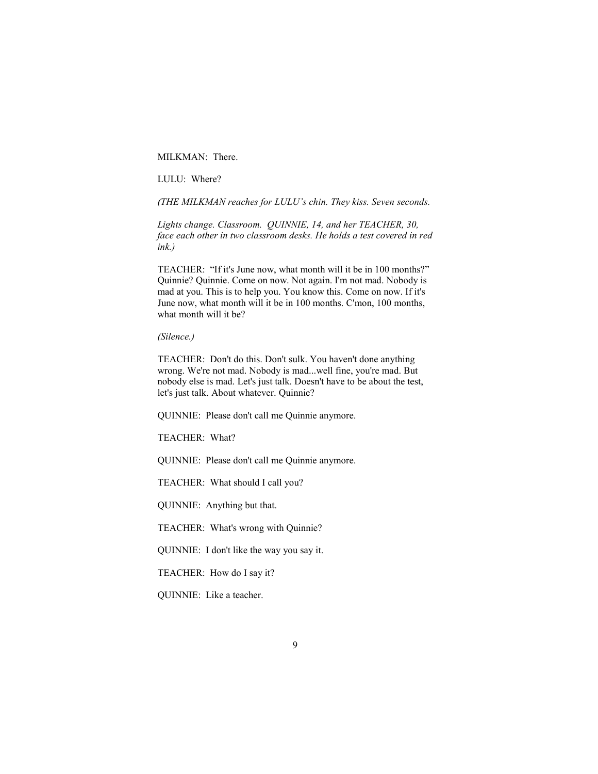MILKMAN: There.

LULU: Where?

*(THE MILKMAN reaches for LULU's chin. They kiss. Seven seconds.* 

Lights change. Classroom. QUINNIE, 14, and her TEACHER, 30, *face each other in two classroom desks. He holds a test covered in red ink.)* 

TEACHER: "If it's June now, what month will it be in 100 months?" Quinnie? Quinnie. Come on now. Not again. I'm not mad. Nobody is mad at you. This is to help you. You know this. Come on now. If it's June now, what month will it be in 100 months. C'mon, 100 months, what month will it be?

*(Silence.)* 

TEACHER: Don't do this. Don't sulk. You haven't done anything wrong. We're not mad. Nobody is mad...well fine, you're mad. But nobody else is mad. Let's just talk. Doesn't have to be about the test, let's just talk. About whatever. Quinnie?

QUINNIE: Please don't call me Quinnie anymore.

TEACHER: What?

QUINNIE: Please don't call me Quinnie anymore.

TEACHER: What should I call you?

QUINNIE: Anything but that.

TEACHER: What's wrong with Quinnie?

QUINNIE: I don't like the way you say it.

TEACHER: How do I say it?

QUINNIE: Like a teacher.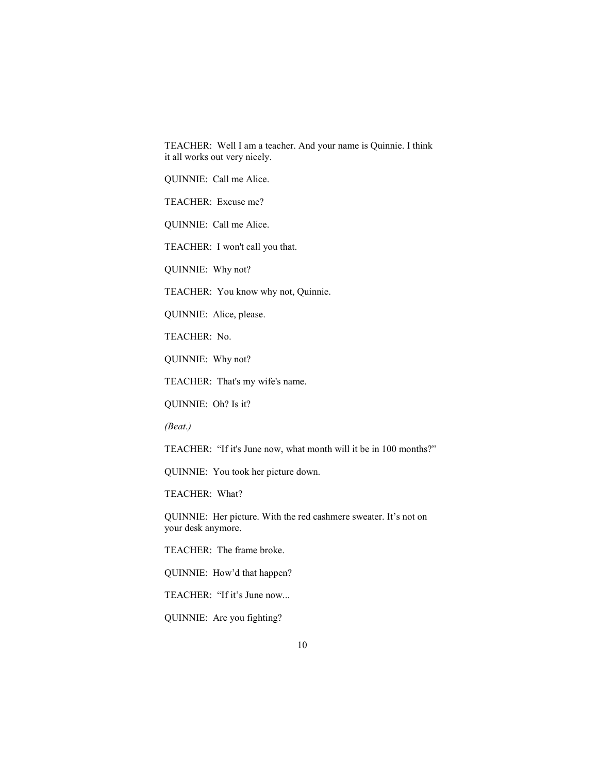TEACHER: Well I am a teacher. And your name is Quinnie. I think it all works out very nicely.

QUINNIE: Call me Alice.

TEACHER: Excuse me?

QUINNIE: Call me Alice.

TEACHER: I won't call you that.

QUINNIE: Why not?

TEACHER: You know why not, Quinnie.

QUINNIE: Alice, please.

TEACHER: No.

QUINNIE: Why not?

TEACHER: That's my wife's name.

QUINNIE: Oh? Is it?

*(Beat.)* 

TEACHER: "If it's June now, what month will it be in 100 months?"

QUINNIE: You took her picture down.

TEACHER: What?

QUINNIE: Her picture. With the red cashmere sweater. It's not on your desk anymore.

TEACHER: The frame broke.

QUINNIE: How'd that happen?

TEACHER: "If it's June now...

QUINNIE: Are you fighting?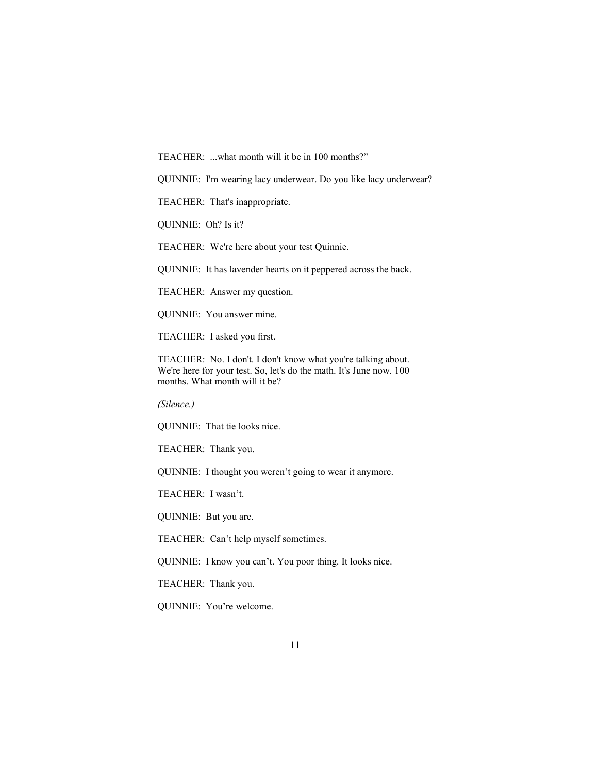TEACHER: ...what month will it be in 100 months?"

QUINNIE: I'm wearing lacy underwear. Do you like lacy underwear?

TEACHER: That's inappropriate.

QUINNIE: Oh? Is it?

TEACHER: We're here about your test Quinnie.

QUINNIE: It has lavender hearts on it peppered across the back.

TEACHER: Answer my question.

QUINNIE: You answer mine.

TEACHER: I asked you first.

TEACHER: No. I don't. I don't know what you're talking about. We're here for your test. So, let's do the math. It's June now. 100 months. What month will it be?

*(Silence.)* 

QUINNIE: That tie looks nice.

TEACHER: Thank you.

QUINNIE: I thought you weren't going to wear it anymore.

TEACHER: I wasn't.

QUINNIE: But you are.

TEACHER: Can't help myself sometimes.

QUINNIE: I know you can't. You poor thing. It looks nice.

TEACHER: Thank you.

QUINNIE: You're welcome.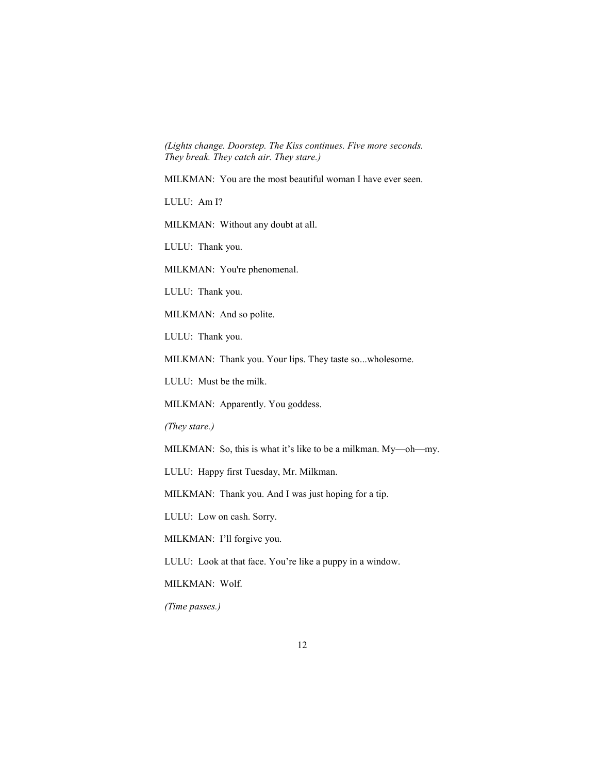*(Lights change. Doorstep. The Kiss continues. Five more seconds. They break. They catch air. They stare.)* 

MILKMAN: You are the most beautiful woman I have ever seen.

LULU: Am I?

MILKMAN: Without any doubt at all.

LULU: Thank you.

MILKMAN: You're phenomenal.

LULU: Thank you.

MILKMAN: And so polite.

LULU: Thank you.

MILKMAN: Thank you. Your lips. They taste so...wholesome.

LULU: Must be the milk.

MILKMAN: Apparently. You goddess.

*(They stare.)* 

MILKMAN: So, this is what it's like to be a milkman. My—oh—my.

LULU: Happy first Tuesday, Mr. Milkman.

MILKMAN: Thank you. And I was just hoping for a tip.

LULU: Low on cash. Sorry.

MILKMAN: I'll forgive you.

LULU: Look at that face. You're like a puppy in a window.

MILKMAN: Wolf.

*(Time passes.)*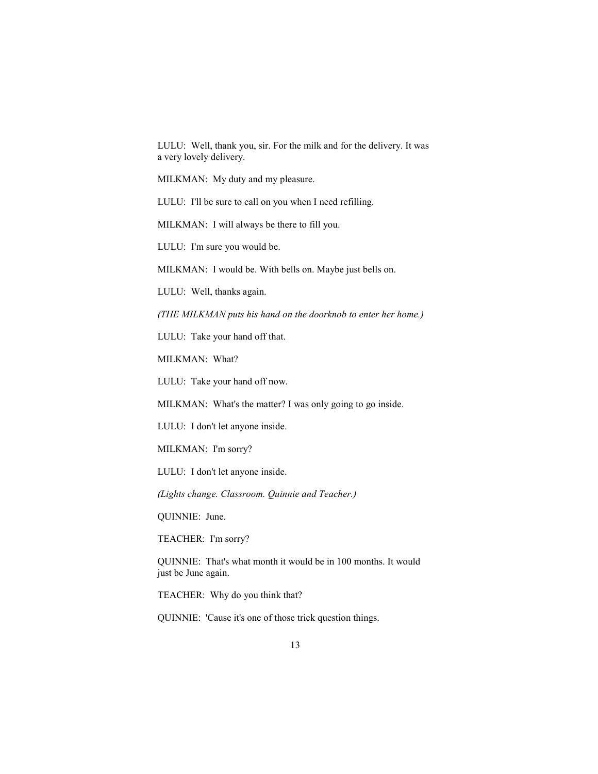LULU: Well, thank you, sir. For the milk and for the delivery. It was a very lovely delivery.

MILKMAN: My duty and my pleasure.

LULU: I'll be sure to call on you when I need refilling.

MILKMAN: I will always be there to fill you.

LULU: I'm sure you would be.

MILKMAN: I would be. With bells on. Maybe just bells on.

LULU: Well, thanks again.

*(THE MILKMAN puts his hand on the doorknob to enter her home.)* 

LULU: Take your hand off that.

MILKMAN: What?

LULU: Take your hand off now.

MILKMAN: What's the matter? I was only going to go inside.

LULU: I don't let anyone inside.

MILKMAN: I'm sorry?

LULU: I don't let anyone inside.

*(Lights change. Classroom. Quinnie and Teacher.)* 

QUINNIE: June.

TEACHER: I'm sorry?

QUINNIE: That's what month it would be in 100 months. It would just be June again.

TEACHER: Why do you think that?

QUINNIE: 'Cause it's one of those trick question things.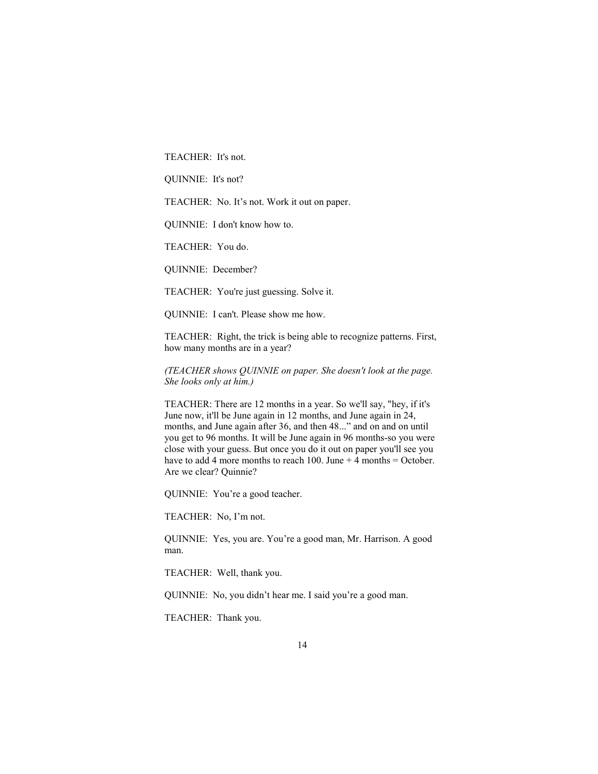TEACHER: It's not.

QUINNIE: It's not?

TEACHER: No. It's not. Work it out on paper.

QUINNIE: I don't know how to.

TEACHER: You do.

QUINNIE: December?

TEACHER: You're just guessing. Solve it.

QUINNIE: I can't. Please show me how.

TEACHER: Right, the trick is being able to recognize patterns. First, how many months are in a year?

*(TEACHER shows QUINNIE on paper. She doesn't look at the page. She looks only at him.)* 

TEACHER: There are 12 months in a year. So we'll say, "hey, if it's June now, it'll be June again in 12 months, and June again in 24, months, and June again after 36, and then 48..." and on and on until you get to 96 months. It will be June again in 96 months-so you were close with your guess. But once you do it out on paper you'll see you have to add 4 more months to reach 100. June  $+$  4 months = October. Are we clear? Quinnie?

QUINNIE: You're a good teacher.

TEACHER: No, I'm not.

QUINNIE: Yes, you are. You're a good man, Mr. Harrison. A good man.

TEACHER: Well, thank you.

QUINNIE: No, you didn't hear me. I said you're a good man.

TEACHER: Thank you.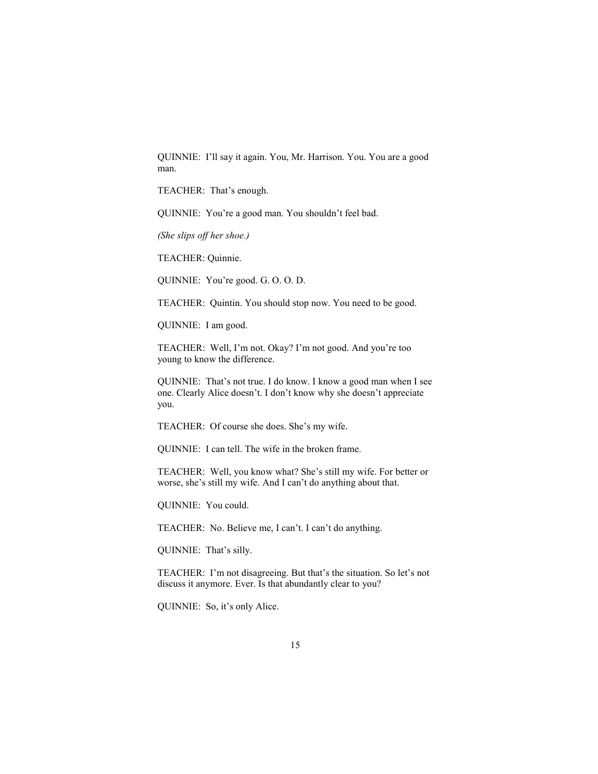QUINNIE: I'll say it again. You, Mr. Harrison. You. You are a good man.

TEACHER: That's enough.

QUINNIE: You're a good man. You shouldn't feel bad.

*(She slips off her shoe.)* 

TEACHER: Quinnie.

QUINNIE: You're good. G. O. O. D.

TEACHER: Quintin. You should stop now. You need to be good.

QUINNIE: I am good.

TEACHER: Well, I'm not. Okay? I'm not good. And you're too young to know the difference.

QUINNIE: That's not true. I do know. I know a good man when I see one. Clearly Alice doesn't. I don't know why she doesn't appreciate you.

TEACHER: Of course she does. She's my wife.

QUINNIE: I can tell. The wife in the broken frame.

TEACHER: Well, you know what? She's still my wife. For better or worse, she's still my wife. And I can't do anything about that.

QUINNIE: You could.

TEACHER: No. Believe me, I can't. I can't do anything.

QUINNIE: That's silly.

TEACHER: I'm not disagreeing. But that's the situation. So let's not discuss it anymore. Ever. Is that abundantly clear to you?

QUINNIE: So, it's only Alice.